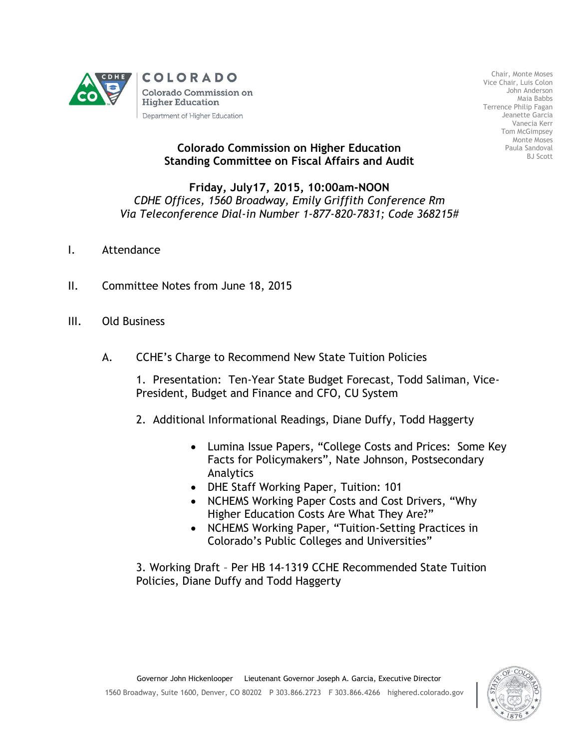

Chair, Monte Moses Vice Chair, Luis Colon John Anderson Maia Babbs Terrence Philip Fagan Jeanette Garcia Vanecia Kerr Tom McGimpsey Monte Moses Paula Sandoval BJ Scott

## **Colorado Commission on Higher Education Standing Committee on Fiscal Affairs and Audit**

## **Friday, July17, 2015, 10:00am-NOON** *CDHE Offices, 1560 Broadway, Emily Griffith Conference Rm Via Teleconference Dial-in Number 1-877-820-7831; Code 368215#*

- I. Attendance
- II. Committee Notes from June 18, 2015
- III. Old Business
	- A. CCHE's Charge to Recommend New State Tuition Policies
		- 1. Presentation: Ten-Year State Budget Forecast, Todd Saliman, Vice-President, Budget and Finance and CFO, CU System
		- 2. Additional Informational Readings, Diane Duffy, Todd Haggerty
			- Lumina Issue Papers, "College Costs and Prices: Some Key Facts for Policymakers", Nate Johnson, Postsecondary Analytics
			- DHE Staff Working Paper, Tuition: 101
			- NCHEMS Working Paper Costs and Cost Drivers, "Why Higher Education Costs Are What They Are?"
			- NCHEMS Working Paper, "Tuition-Setting Practices in Colorado's Public Colleges and Universities"

3. Working Draft – Per HB 14-1319 CCHE Recommended State Tuition Policies, Diane Duffy and Todd Haggerty